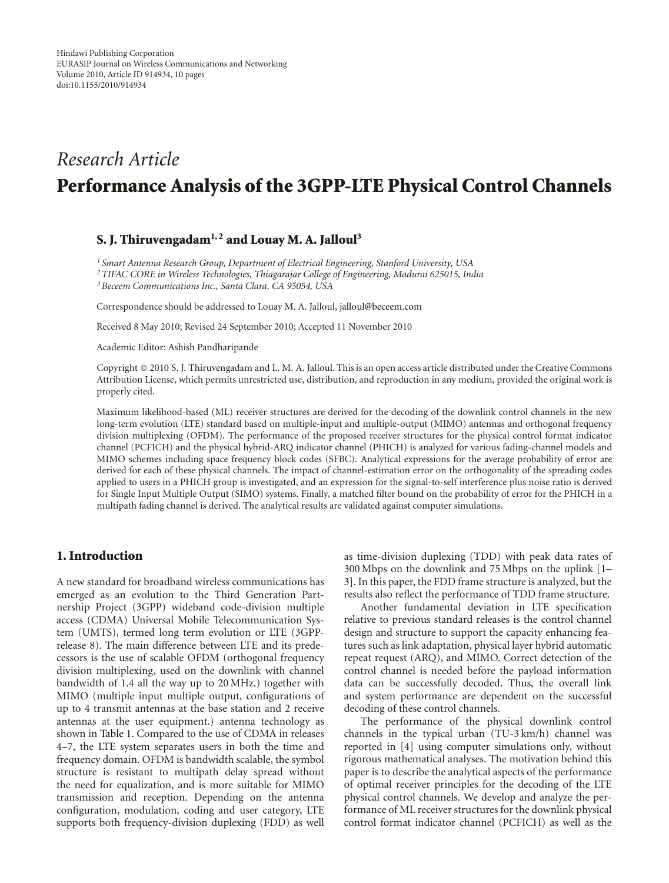# *Research Article* **Performance Analysis of the 3GPP-LTE Physical Control Channels**

# **S. J. Thiruvengadam1, 2 and Louay M. A. Jalloul3**

*<sup>1</sup> Smart Antenna Research Group, Department of Electrical Engineering, Stanford University, USA 2TIFAC CORE in Wireless Technologies, Thiagarajar College of Engineering, Madurai 625015, India 3Beceem Communications Inc., Santa Clara, CA 95054, USA*

Correspondence should be addressed to Louay M. A. Jalloul, jalloul@beceem.com

Received 8 May 2010; Revised 24 September 2010; Accepted 11 November 2010

Academic Editor: Ashish Pandharipande

Copyright © 2010 S. J. Thiruvengadam and L. M. A. Jalloul. This is an open access article distributed under the Creative Commons Attribution License, which permits unrestricted use, distribution, and reproduction in any medium, provided the original work is properly cited.

Maximum likelihood-based (ML) receiver structures are derived for the decoding of the downlink control channels in the new long-term evolution (LTE) standard based on multiple-input and multiple-output (MIMO) antennas and orthogonal frequency division multiplexing (OFDM). The performance of the proposed receiver structures for the physical control format indicator channel (PCFICH) and the physical hybrid-ARQ indicator channel (PHICH) is analyzed for various fading-channel models and MIMO schemes including space frequency block codes (SFBC). Analytical expressions for the average probability of error are derived for each of these physical channels. The impact of channel-estimation error on the orthogonality of the spreading codes applied to users in a PHICH group is investigated, and an expression for the signal-to-self interference plus noise ratio is derived for Single Input Multiple Output (SIMO) systems. Finally, a matched filter bound on the probability of error for the PHICH in a multipath fading channel is derived. The analytical results are validated against computer simulations.

#### **1. Introduction**

A new standard for broadband wireless communications has emerged as an evolution to the Third Generation Partnership Project (3GPP) wideband code-division multiple access (CDMA) Universal Mobile Telecommunication System (UMTS), termed long term evolution or LTE (3GPPrelease 8). The main difference between LTE and its predecessors is the use of scalable OFDM (orthogonal frequency division multiplexing, used on the downlink with channel bandwidth of 1.4 all the way up to 20 MHz.) together with MIMO (multiple input multiple output, configurations of up to 4 transmit antennas at the base station and 2 receive antennas at the user equipment.) antenna technology as shown in Table 1. Compared to the use of CDMA in releases 4–7, the LTE system separates users in both the time and frequency domain. OFDM is bandwidth scalable, the symbol structure is resistant to multipath delay spread without the need for equalization, and is more suitable for MIMO transmission and reception. Depending on the antenna configuration, modulation, coding and user category, LTE supports both frequency-division duplexing (FDD) as well

as time-division duplexing (TDD) with peak data rates of 300 Mbps on the downlink and 75 Mbps on the uplink [1– 3]. In this paper, the FDD frame structure is analyzed, but the results also reflect the performance of TDD frame structure.

Another fundamental deviation in LTE specification relative to previous standard releases is the control channel design and structure to support the capacity enhancing features such as link adaptation, physical layer hybrid automatic repeat request (ARQ), and MIMO. Correct detection of the control channel is needed before the payload information data can be successfully decoded. Thus, the overall link and system performance are dependent on the successful decoding of these control channels.

The performance of the physical downlink control channels in the typical urban (TU-3 km/h) channel was reported in [4] using computer simulations only, without rigorous mathematical analyses. The motivation behind this paper is to describe the analytical aspects of the performance of optimal receiver principles for the decoding of the LTE physical control channels. We develop and analyze the performance of ML receiver structures for the downlink physical control format indicator channel (PCFICH) as well as the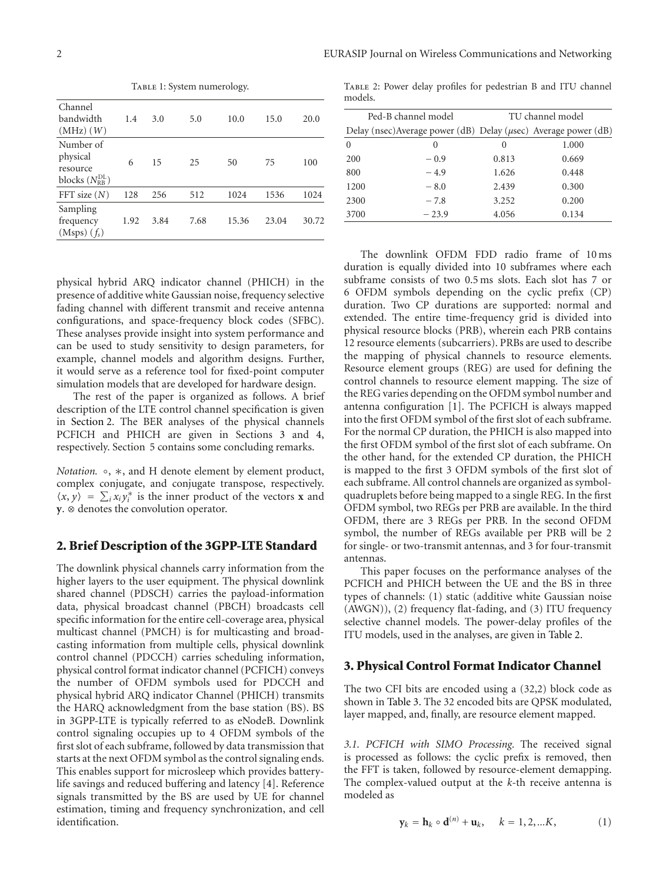TABLE 1: System numerology.

| Channel<br>bandwidth<br>$(MHz)$ $(W)$                               | 1.4  | 3.0  | 5.0  | 10.0  | 15.0  | 20.0  |
|---------------------------------------------------------------------|------|------|------|-------|-------|-------|
| Number of<br>physical<br>resource<br>blocks $(N_{\rm RR}^{\rm DL})$ | 6    | 15   | 25   | 50    | 75    | 100   |
| FFT size $(N)$                                                      | 128  | 256  | 512  | 1024  | 1536  | 1024  |
| Sampling<br>frequency<br>$(Msps)$ $(f_s)$                           | 1.92 | 3.84 | 7.68 | 15.36 | 23.04 | 30.72 |

physical hybrid ARQ indicator channel (PHICH) in the presence of additive white Gaussian noise, frequency selective fading channel with different transmit and receive antenna configurations, and space-frequency block codes (SFBC). These analyses provide insight into system performance and can be used to study sensitivity to design parameters, for example, channel models and algorithm designs. Further, it would serve as a reference tool for fixed-point computer simulation models that are developed for hardware design.

The rest of the paper is organized as follows. A brief description of the LTE control channel specification is given in Section 2. The BER analyses of the physical channels PCFICH and PHICH are given in Sections 3 and 4, respectively. Section 5 contains some concluding remarks.

*Notation.* ◦, ∗, and H denote element by element product, complex conjugate, and conjugate transpose, respectively.  $\langle x, y \rangle = \sum_i x_i y_i^*$  is the inner product of the vectors **x** and **y**. ⊗ denotes the convolution operator.

#### **2. Brief Description of the 3GPP-LTE Standard**

The downlink physical channels carry information from the higher layers to the user equipment. The physical downlink shared channel (PDSCH) carries the payload-information data, physical broadcast channel (PBCH) broadcasts cell specific information for the entire cell-coverage area, physical multicast channel (PMCH) is for multicasting and broadcasting information from multiple cells, physical downlink control channel (PDCCH) carries scheduling information, physical control format indicator channel (PCFICH) conveys the number of OFDM symbols used for PDCCH and physical hybrid ARQ indicator Channel (PHICH) transmits the HARQ acknowledgment from the base station (BS). BS in 3GPP-LTE is typically referred to as eNodeB. Downlink control signaling occupies up to 4 OFDM symbols of the first slot of each subframe, followed by data transmission that starts at the next OFDM symbol as the control signaling ends. This enables support for microsleep which provides batterylife savings and reduced buffering and latency [4]. Reference signals transmitted by the BS are used by UE for channel estimation, timing and frequency synchronization, and cell identification.

Table 2: Power delay profiles for pedestrian B and ITU channel models.

|          | Ped-B channel model | TU channel model |                                                                       |  |
|----------|---------------------|------------------|-----------------------------------------------------------------------|--|
|          |                     |                  | Delay (nsec) Average power (dB) Delay ( $\mu$ sec) Average power (dB) |  |
| $\Omega$ | $\left( \right)$    | $\left( \right)$ | 1.000                                                                 |  |
| 200      | $-0.9$              | 0.813            | 0.669                                                                 |  |
| 800      | $-4.9$              | 1.626            | 0.448                                                                 |  |
| 1200     | $-8.0$              | 2.439            | 0.300                                                                 |  |
| 2300     | $-7.8$              | 3.252            | 0.200                                                                 |  |
| 3700     | $-23.9$             | 4.056            | 0.134                                                                 |  |
|          |                     |                  |                                                                       |  |

The downlink OFDM FDD radio frame of 10 ms duration is equally divided into 10 subframes where each subframe consists of two 0.5 ms slots. Each slot has 7 or 6 OFDM symbols depending on the cyclic prefix (CP) duration. Two CP durations are supported: normal and extended. The entire time-frequency grid is divided into physical resource blocks (PRB), wherein each PRB contains 12 resource elements (subcarriers). PRBs are used to describe the mapping of physical channels to resource elements. Resource element groups (REG) are used for defining the control channels to resource element mapping. The size of the REG varies depending on the OFDM symbol number and antenna configuration [1]. The PCFICH is always mapped into the first OFDM symbol of the first slot of each subframe. For the normal CP duration, the PHICH is also mapped into the first OFDM symbol of the first slot of each subframe. On the other hand, for the extended CP duration, the PHICH is mapped to the first 3 OFDM symbols of the first slot of each subframe. All control channels are organized as symbolquadruplets before being mapped to a single REG. In the first OFDM symbol, two REGs per PRB are available. In the third OFDM, there are 3 REGs per PRB. In the second OFDM symbol, the number of REGs available per PRB will be 2 for single- or two-transmit antennas, and 3 for four-transmit antennas.

This paper focuses on the performance analyses of the PCFICH and PHICH between the UE and the BS in three types of channels: (1) static (additive white Gaussian noise (AWGN)), (2) frequency flat-fading, and (3) ITU frequency selective channel models. The power-delay profiles of the ITU models, used in the analyses, are given in Table 2.

#### **3. Physical Control Format Indicator Channel**

The two CFI bits are encoded using a (32,2) block code as shown in Table 3. The 32 encoded bits are QPSK modulated, layer mapped, and, finally, are resource element mapped.

*3.1. PCFICH with SIMO Processing.* The received signal is processed as follows: the cyclic prefix is removed, then the FFT is taken, followed by resource-element demapping. The complex-valued output at the *k*-th receive antenna is modeled as

$$
\mathbf{y}_k = \mathbf{h}_k \circ \mathbf{d}^{(n)} + \mathbf{u}_k, \quad k = 1, 2, \dots K,
$$
 (1)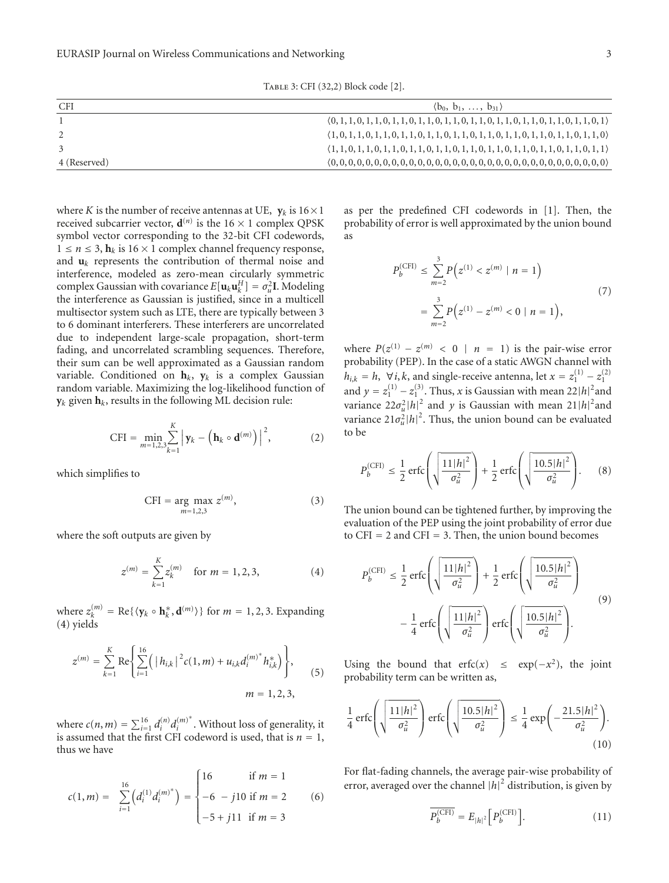| CFI          | $(b_0, b_1, \ldots, b_{31})$                                                                                     |
|--------------|------------------------------------------------------------------------------------------------------------------|
|              | $(0, 1, 1, 0, 1, 1, 0, 1, 1, 0, 1, 1, 0, 1, 1, 0, 1, 1, 0, 1, 1, 0, 1, 1, 0, 1, 1, 0, 1, 1, 0, 1)$               |
|              | $\langle 1, 0, 1, 1, 0, 1, 1, 0, 1, 1, 0, 1, 1, 0, 1, 1, 0, 1, 1, 0, 1, 1, 0, 1, 1, 0, 1, 1, 0, 1, 1, 0 \rangle$ |
|              | $\{1, 1, 0, 1, 1, 0, 1, 1, 0, 1, 1, 0, 1, 1, 0, 1, 1, 0, 1, 1, 0, 1, 1, 0, 1, 1, 0, 1, 1, 0, 1, 1\}$             |
| 4 (Reserved) |                                                                                                                  |

where *K* is the number of receive antennas at UE,  $y_k$  is  $16 \times 1$ received subcarrier vector,  $\mathbf{d}^{(n)}$  is the 16  $\times$  1 complex QPSK symbol vector corresponding to the 32-bit CFI codewords,  $1 \le n \le 3$ ,  $\mathbf{h}_k$  is  $16 \times 1$  complex channel frequency response, and  $\mathbf{u}_k$  represents the contribution of thermal noise and interference, modeled as zero-mean circularly symmetric complex Gaussian with covariance  $E[\mathbf{u}_k \mathbf{u}_k^H] = \sigma_u^2 \mathbf{I}$ . Modeling the interference as Gaussian is justified, since in a multicell multisector system such as LTE, there are typically between 3 to 6 dominant interferers. These interferers are uncorrelated due to independent large-scale propagation, short-term fading, and uncorrelated scrambling sequences. Therefore, their sum can be well approximated as a Gaussian random variable. Conditioned on  $h_k$ ,  $y_k$  is a complex Gaussian random variable. Maximizing the log-likelihood function of  $y_k$  given  $h_k$ , results in the following ML decision rule:

$$
CFI = \min_{m=1,2,3} \sum_{k=1}^{K} |y_k - (h_k \circ d^{(m)})|^2, \qquad (2)
$$

which simplifies to

$$
CFI = \underset{m=1,2,3}{\arg \max} z^{(m)},\tag{3}
$$

where the soft outputs are given by

$$
z^{(m)} = \sum_{k=1}^{K} z_k^{(m)} \quad \text{for } m = 1, 2, 3,
$$
 (4)

where  $z_k^{(m)} = \text{Re}\{\langle \mathbf{y}_k \circ \mathbf{h}_k^*, \mathbf{d}^{(m)} \rangle\}$  for  $m = 1, 2, 3$ . Expanding (4) yields

$$
z^{(m)} = \sum_{k=1}^{K} \text{Re} \left\{ \sum_{i=1}^{16} \left( |h_{i,k}|^2 c(1, m) + u_{i,k} d_i^{(m)^*} h_{i,k}^* \right) \right\},
$$
  
\n
$$
m = 1, 2, 3,
$$
\n(5)

where  $c(n, m) = \sum_{i=1}^{16} d_i^{(n)} d_i^{(m)*}$ . Without loss of generality, it is assumed that the first CFI codeword is used, that is  $n = 1$ , thus we have

$$
c(1,m) = \sum_{i=1}^{16} \left( d_i^{(1)} d_i^{(m)^*} \right) = \begin{cases} 16 & \text{if } m = 1 \\ -6 & -j10 \text{ if } m = 2 \\ -5 + j11 & \text{if } m = 3 \end{cases} \tag{6}
$$

as per the predefined CFI codewords in [1]. Then, the probability of error is well approximated by the union bound as

$$
P_b^{(\text{CFI})} \le \sum_{m=2}^3 P(z^{(1)} < z^{(m)} \mid n = 1)
$$
\n
$$
= \sum_{m=2}^3 P(z^{(1)} - z^{(m)} < 0 \mid n = 1), \tag{7}
$$

where  $P(z^{(1)} - z^{(m)} < 0 \mid n = 1)$  is the pair-wise error probability (PEP). In the case of a static AWGN channel with *h*<sub>i,k</sub> = *h*,  $\forall i$ , *k*, and single-receive antenna, let  $x = z_1^{(1)} - z_1^{(2)}$ and  $y = z_1^{(1)} - z_1^{(3)}$ . Thus, *x* is Gaussian with mean 22|*h*|<sup>2</sup> and variance  $22\sigma_u^2|h|^2$  and *y* is Gaussian with mean  $21|h|^2$  and variance  $21\sigma_u^2|h|^2$ . Thus, the union bound can be evaluated to be

$$
P_b^{\text{(CFI)}} \le \frac{1}{2} \operatorname{erfc}\left(\sqrt{\frac{11|h|^2}{\sigma_u^2}}\right) + \frac{1}{2} \operatorname{erfc}\left(\sqrt{\frac{10.5|h|^2}{\sigma_u^2}}\right). \tag{8}
$$

The union bound can be tightened further, by improving the evaluation of the PEP using the joint probability of error due to  $CFI = 2$  and  $CFI = 3$ . Then, the union bound becomes

$$
P_b^{\text{(CFI)}} \le \frac{1}{2} \operatorname{erfc}\left(\sqrt{\frac{11|h|^2}{\sigma_u^2}}\right) + \frac{1}{2} \operatorname{erfc}\left(\sqrt{\frac{10.5|h|^2}{\sigma_u^2}}\right)
$$

$$
-\frac{1}{4} \operatorname{erfc}\left(\sqrt{\frac{11|h|^2}{\sigma_u^2}}\right) \operatorname{erfc}\left(\sqrt{\frac{10.5|h|^2}{\sigma_u^2}}\right).
$$
(9)

Using the bound that erfc(x)  $\leq$  exp(-x<sup>2</sup>), the joint probability term can be written as,

$$
\frac{1}{4}\operatorname{erfc}\left(\sqrt{\frac{11|h|^2}{\sigma_u^2}}\right)\operatorname{erfc}\left(\sqrt{\frac{10.5|h|^2}{\sigma_u^2}}\right) \le \frac{1}{4}\exp\left(-\frac{21.5|h|^2}{\sigma_u^2}\right). \tag{10}
$$

For flat-fading channels, the average pair-wise probability of error, averaged over the channel  $|h|^2$  distribution, is given by

$$
\overline{P_b^{\text{(CFI)}}} = E_{|h|^2} \left[ P_b^{\text{(CFI)}} \right]. \tag{11}
$$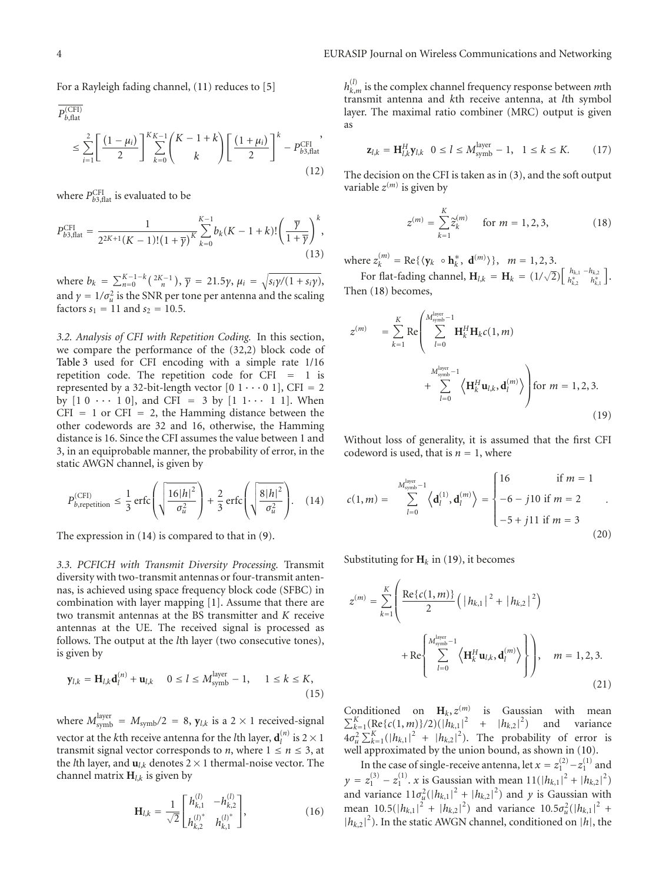For a Rayleigh fading channel, (11) reduces to [5]

$$
\overline{P_{b, \text{flat}}^{\text{(CFI)}}}\n\leq \sum_{i=1}^{2} \left[ \frac{(1-\mu_i)}{2} \right]_{k=0}^{K_{K-1}} \left( \frac{K-1+k}{k} \right) \left[ \frac{(1+\mu_i)}{2} \right]^k - P_{b3, \text{flat}}^{\text{CFI}}\n\tag{12}
$$

where  $P_{b3,flat}^{\text{CFI}}$  is evaluated to be

$$
P_{b3, \text{flat}}^{\text{CFI}} = \frac{1}{2^{2K+1}(K-1)!(1+\overline{\gamma})^K} \sum_{k=0}^{K-1} b_k(K-1+k)! \left(\frac{\overline{\gamma}}{1+\overline{\gamma}}\right)^k, \tag{13}
$$

where  $b_k = \sum_{n=0}^{K-1-k} {2K-1 \choose n}$ ,  $\bar{\gamma} = 21.5\gamma$ ,  $\mu_i = \sqrt{s_i \gamma/(1+s_i \gamma)}$ , and  $\gamma = 1/\sigma_u^2$  is the SNR per tone per antenna and the scaling factors  $s_1 = 11$  and  $s_2 = 10.5$ .

*3.2. Analysis of CFI with Repetition Coding.* In this section, we compare the performance of the (32,2) block code of Table 3 used for CFI encoding with a simple rate 1/16 repetition code. The repetition code for CFI = 1 is represented by a 32-bit-length vector  $[0 \ 1 \ \cdots \ 0 \ 1]$ , CFI = 2 by  $[1 \ 0 \ \cdots \ 1 \ 0]$ , and CFI = 3 by  $[1 \ 1 \cdots \ 1 \ 1]$ . When  $CFI = 1$  or  $CFI = 2$ , the Hamming distance between the other codewords are 32 and 16, otherwise, the Hamming distance is 16. Since the CFI assumes the value between 1 and 3, in an equiprobable manner, the probability of error, in the static AWGN channel, is given by

$$
P_{b,\text{repetition}}^{\text{(CFI}} \leq \frac{1}{3} \operatorname{erfc}\left(\sqrt{\frac{16|h|^2}{\sigma_u^2}}\right) + \frac{2}{3} \operatorname{erfc}\left(\sqrt{\frac{8|h|^2}{\sigma_u^2}}\right). \quad (14)
$$

The expression in (14) is compared to that in (9).

*3.3. PCFICH with Transmit Diversity Processing.* Transmit diversity with two-transmit antennas or four-transmit antennas, is achieved using space frequency block code (SFBC) in combination with layer mapping [1]. Assume that there are two transmit antennas at the BS transmitter and *K* receive antennas at the UE. The received signal is processed as follows. The output at the *l*th layer (two consecutive tones), is given by

$$
\mathbf{y}_{l,k} = \mathbf{H}_{l,k} \mathbf{d}_l^{(n)} + \mathbf{u}_{l,k} \quad 0 \le l \le M_{\text{symb}}^{\text{layer}} - 1, \quad 1 \le k \le K,
$$
\n(15)

where  $M_{\text{symb}}^{\text{layer}} = M_{\text{symb}}/2 = 8$ ,  $\mathbf{y}_{l,k}$  is a 2  $\times$  1 received-signal vector at the *k*th receive antenna for the *l*th layer,  $\mathbf{d}_l^{(n)}$  is 2  $\times$  1 transmit signal vector corresponds to *n*, where  $1 \le n \le 3$ , at the *l*th layer, and  $\mathbf{u}_{l,k}$  denotes 2  $\times$  1 thermal-noise vector. The channel matrix  $H_{l,k}$  is given by

$$
\mathbf{H}_{l,k} = \frac{1}{\sqrt{2}} \begin{bmatrix} h_{k,1}^{(l)} & -h_{k,2}^{(l)} \\ h_{k,2}^{(l)^*} & h_{k,1}^{(l)^*} \end{bmatrix},
$$
(16)

 $h_{k,m}^{(l)}$  is the complex channel frequency response between  $m$ th transmit antenna and *k*th receive antenna, at *l*th symbol layer. The maximal ratio combiner (MRC) output is given as

$$
\mathbf{z}_{l,k} = \mathbf{H}_{l,k}^H \mathbf{y}_{l,k} \quad 0 \le l \le M_{\text{symb}}^{\text{layer}} - 1, \quad 1 \le k \le K. \tag{17}
$$

The decision on the CFI is taken as in (3), and the soft output variable  $z^{(m)}$  is given by

$$
z^{(m)} = \sum_{k=1}^{K} \tilde{z}_{k}^{(m)} \quad \text{for } m = 1, 2, 3,
$$
 (18)

where  $z_k^{(m)} = \text{Re}\{\langle y_k \circ \mathbf{h}_k^*, \mathbf{d}^{(m)} \rangle\}, \quad m = 1, 2, 3.$ 

For flat-fading channel,  $\mathbf{H}_{l,k} = \mathbf{H}_{k} = (1/\sqrt{2}) \begin{bmatrix} h_{k,1} & -h_{k,2} \\ h_{k,2}^{*} & h_{k,1}^{*} \end{bmatrix}$ . Then (18) becomes,

$$
z^{(m)} = \sum_{k=1}^{K} \text{Re}\left(\sum_{l=0}^{M_{\text{sym}}^{\text{layer}}} \mathbf{H}_{k}^{H} \mathbf{H}_{k} c(1, m) + \sum_{l=0}^{M_{\text{sym}}^{\text{layer}}} \left\langle \mathbf{H}_{k}^{H} \mathbf{u}_{l,k}, \mathbf{d}_{l}^{(m)} \right\rangle \right) \text{for } m = 1, 2, 3.
$$
\n(19)

Without loss of generality, it is assumed that the first CFI codeword is used, that is  $n = 1$ , where

$$
c(1,m) = \sum_{l=0}^{M_{\text{synb}}^{\text{layer}}-1} \left\langle \mathbf{d}_l^{(1)}, \mathbf{d}_l^{(m)} \right\rangle = \begin{cases} 16 & \text{if } m = 1 \\ -6 - j10 \text{ if } m = 2 \\ -5 + j11 \text{ if } m = 3 \end{cases}
$$
(20)

Substituting for  $H_k$  in (19), it becomes

$$
z^{(m)} = \sum_{k=1}^{K} \left( \frac{\text{Re}\{c(1,m)\}}{2} \left( |h_{k,1}|^2 + |h_{k,2}|^2 \right) + \text{Re}\left\{ \sum_{l=0}^{M_{\text{synb}}^{layer}-1} \left\langle \mathbf{H}_{k}^{H} \mathbf{u}_{l,k}, \mathbf{d}_{l}^{(m)} \right\rangle \right\} \right), \quad m = 1, 2, 3.
$$
\n(21)

Conditioned on  $\mathbf{H}_k$ ,  $z^{(m)}$ Conditioned on  $\mathbf{H}_k$ ,  $z^{(m)}$  is Gaussian with mean  $\sum_{k=1}^K (\text{Re}\{c(1,m)\}/2)(|h_{k,1}|^2 + |h_{k,2}|^2)$  and variance  $4\sigma_u^2 \sum_{k=1}^K (|h_{k,1}|^2 + |h_{k,2}|^2)$ . The probability of error is well approximated by the union bound, as shown in (10).

In the case of single-receive antenna, let  $x = z_1^{(2)} - z_1^{(1)}$  and  $y = z_1^{(3)} - z_1^{(1)}$ . *x* is Gaussian with mean  $11(|h_{k,1}|^2 + |h_{k,2}|^2)$ and variance  $11\sigma_{\mu}^2(|h_{k,1}|^2 + |h_{k,2}|^2)$  and *y* is Gaussian with mean 10.5( $|h_{k,1}|^2 + |h_{k,2}|^2$ ) and variance  $10.5\sigma_u^2(|h_{k,1}|^2 +$  $|h_{k,2}|^2$ ). In the static AWGN channel, conditioned on  $|h|$ , the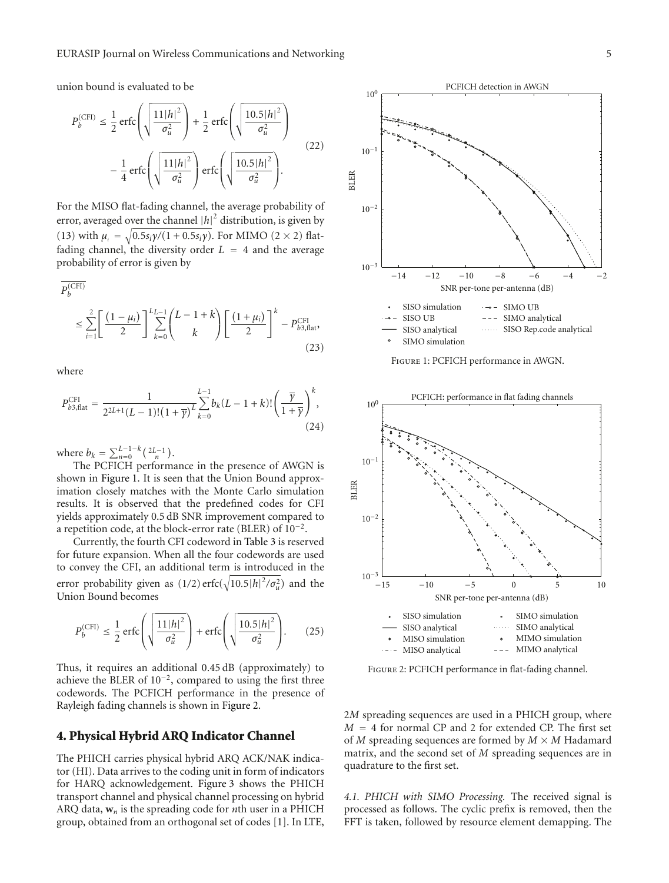union bound is evaluated to be

$$
P_b^{\text{(CFI)}} \le \frac{1}{2} \operatorname{erfc}\left(\sqrt{\frac{11|h|^2}{\sigma_u^2}}\right) + \frac{1}{2} \operatorname{erfc}\left(\sqrt{\frac{10.5|h|^2}{\sigma_u^2}}\right)
$$

$$
-\frac{1}{4} \operatorname{erfc}\left(\sqrt{\frac{11|h|^2}{\sigma_u^2}}\right) \operatorname{erfc}\left(\sqrt{\frac{10.5|h|^2}{\sigma_u^2}}\right).
$$
(22)

For the MISO flat-fading channel, the average probability of error, averaged over the channel  $|h|^2$  distribution, is given by (13) with  $\mu_i = \sqrt{0.5s_i\gamma/(1 + 0.5s_i\gamma)}$ . For MIMO (2 × 2) flatfading channel, the diversity order  $L = 4$  and the average probability of error is given by

$$
P_b^{(\text{CFI})}
$$
  
\n
$$
\leq \sum_{i=1}^{2} \left[ \frac{(1-\mu_i)}{2} \right] \sum_{k=0}^{L} \binom{L-1+k}{k} \left[ \frac{(1+\mu_i)}{2} \right]^k - P_{b3, \text{flat}}^{\text{CFI}},
$$
\n(23)

where

$$
P_{b3, \text{flat}}^{\text{CFI}} = \frac{1}{2^{2L+1}(L-1)!(1+\overline{\gamma})^L} \sum_{k=0}^{L-1} b_k(L-1+k)! \left(\frac{\overline{\gamma}}{1+\overline{\gamma}}\right)^k, \tag{24}
$$

where  $b_k = \sum_{n=0}^{L-1-k} \left( \frac{2L-1}{n} \right)$ .

The PCFICH performance in the presence of AWGN is shown in Figure 1. It is seen that the Union Bound approximation closely matches with the Monte Carlo simulation results. It is observed that the predefined codes for CFI yields approximately 0.5 dB SNR improvement compared to a repetition code, at the block-error rate (BLER) of  $10^{-2}$ .

Currently, the fourth CFI codeword in Table 3 is reserved for future expansion. When all the four codewords are used to convey the CFI, an additional term is introduced in the error probability given as  $(1/2)$  erfc $(\sqrt{10.5|h|^2/\sigma_u^2})$  and the Union Bound becomes

$$
P_b^{\text{(CFI)}} \le \frac{1}{2} \operatorname{erfc}\left(\sqrt{\frac{11|h|^2}{\sigma_u^2}}\right) + \operatorname{erfc}\left(\sqrt{\frac{10.5|h|^2}{\sigma_u^2}}\right). \tag{25}
$$

Thus, it requires an additional 0.45 dB (approximately) to achieve the BLER of 10−2, compared to using the first three codewords. The PCFICH performance in the presence of Rayleigh fading channels is shown in Figure 2.

## **4. Physical Hybrid ARQ Indicator Channel**

The PHICH carries physical hybrid ARQ ACK/NAK indicator (HI). Data arrives to the coding unit in form of indicators for HARQ acknowledgement. Figure 3 shows the PHICH transport channel and physical channel processing on hybrid ARQ data,  $w_n$  is the spreading code for *n*th user in a PHICH group, obtained from an orthogonal set of codes [1]. In LTE,



Figure 1: PCFICH performance in AWGN.



Figure 2: PCFICH performance in flat-fading channel.

2*M* spreading sequences are used in a PHICH group, where *M* = 4 for normal CP and 2 for extended CP. The first set of *M* spreading sequences are formed by  $M \times M$  Hadamard matrix, and the second set of *M* spreading sequences are in quadrature to the first set.

*4.1. PHICH with SIMO Processing.* The received signal is processed as follows. The cyclic prefix is removed, then the FFT is taken, followed by resource element demapping. The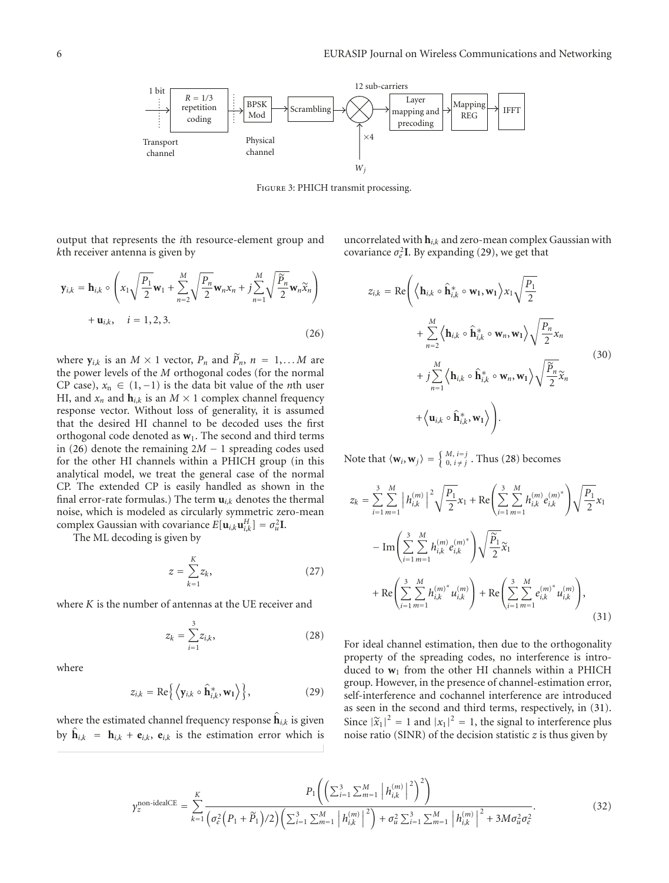

FIGURE 3: PHICH transmit processing

output that represents the *i*th resource-element group and *k*th receiver antenna is given by

$$
\mathbf{y}_{i,k} = \mathbf{h}_{i,k} \circ \left( x_1 \sqrt{\frac{P_1}{2}} \mathbf{w}_1 + \sum_{n=2}^{M} \sqrt{\frac{P_n}{2}} \mathbf{w}_n x_n + j \sum_{n=1}^{M} \sqrt{\frac{\widetilde{P}_n}{2}} \mathbf{w}_n \widetilde{x}_n \right) + \mathbf{u}_{i,k}, \quad i = 1, 2, 3.
$$
\n(26)

where  $y_{i,k}$  is an  $M \times 1$  vector,  $P_n$  and  $\tilde{P}_n$ ,  $n = 1,...M$  are the power levels of the *M* orthogonal codes (for the normal CP case),  $x_n \in (1, -1)$  is the data bit value of the *n*th user HI, and  $x_n$  and  $h_{i,k}$  is an  $M \times 1$  complex channel frequency response vector. Without loss of generality, it is assumed that the desired HI channel to be decoded uses the first orthogonal code denoted as  $w_1$ . The second and third terms in (26) denote the remaining 2*M* − 1 spreading codes used for the other HI channels within a PHICH group (in this analytical model, we treat the general case of the normal CP. The extended CP is easily handled as shown in the final error-rate formulas.) The term  $\mathbf{u}_{i,k}$  denotes the thermal noise, which is modeled as circularly symmetric zero-mean complex Gaussian with covariance  $E[\mathbf{u}_{i,k}\mathbf{u}_{i,k}^H] = \sigma_u^2 \mathbf{I}$ .

The ML decoding is given by

$$
z = \sum_{k=1}^{K} z_k,\tag{27}
$$

where *K* is the number of antennas at the UE receiver and

$$
z_k = \sum_{i=1}^{3} z_{i,k},
$$
 (28)

where

$$
z_{i,k} = \text{Re}\Big\{\Big\langle \mathbf{y}_{i,k} \circ \hat{\mathbf{h}}_{i,k}^*, \mathbf{w}_1 \Big\rangle \Big\},\tag{29}
$$

where the estimated channel frequency response  $\hat{\mathbf{h}}_{i,k}$  is given by  $\hat{\mathbf{h}}_{i,k} = \mathbf{h}_{i,k} + \mathbf{e}_{i,k}$ ,  $\mathbf{e}_{i,k}$  is the estimation error which is uncorrelated with **h***i*,*<sup>k</sup>* and zero-mean complex Gaussian with covariance  $\sigma_e^2$ **I**. By expanding (29), we get that

$$
z_{i,k} = \text{Re}\Bigg( \Big\langle \mathbf{h}_{i,k} \circ \hat{\mathbf{h}}_{i,k}^* \circ \mathbf{w}_1, \mathbf{w}_1 \Big\rangle x_1 \sqrt{\frac{P_1}{2}} + \sum_{n=2}^M \Big\langle \mathbf{h}_{i,k} \circ \hat{\mathbf{h}}_{i,k}^* \circ \mathbf{w}_n, \mathbf{w}_1 \Big\rangle \sqrt{\frac{P_n}{2}} x_n + j \sum_{n=1}^M \Big\langle \mathbf{h}_{i,k} \circ \hat{\mathbf{h}}_{i,k}^* \circ \mathbf{w}_n, \mathbf{w}_1 \Big\rangle \sqrt{\frac{P_n}{2}} \widetilde{x}_n + \Big\langle \mathbf{u}_{i,k} \circ \hat{\mathbf{h}}_{i,k}^*, \mathbf{w}_1 \Big\rangle \Bigg).
$$
 (30)

Note that  $\langle \mathbf{w}_i, \mathbf{w}_j \rangle = \begin{cases} M, i = j \\ 0, i \neq j \end{cases}$ . Thus (28) becomes

$$
z_{k} = \sum_{i=1}^{3} \sum_{m=1}^{M} \left| h_{i,k}^{(m)} \right|^{2} \sqrt{\frac{P_{1}}{2}} x_{1} + \text{Re} \left( \sum_{i=1}^{3} \sum_{m=1}^{M} h_{i,k}^{(m)} e_{i,k}^{(m)^{*}} \right) \sqrt{\frac{P_{1}}{2}} x_{1}
$$

$$
- \text{Im} \left( \sum_{i=1}^{3} \sum_{m=1}^{M} h_{i,k}^{(m)} e_{i,k}^{(m)^{*}} \right) \sqrt{\frac{\widetilde{P}_{1}}{2}} \widetilde{x}_{1}
$$

$$
+ \text{Re} \left( \sum_{i=1}^{3} \sum_{m=1}^{M} h_{i,k}^{(m)^{*}} u_{i,k}^{(m)} \right) + \text{Re} \left( \sum_{i=1}^{3} \sum_{m=1}^{M} e_{i,k}^{(m)^{*}} u_{i,k}^{(m)} \right), \tag{31}
$$

For ideal channel estimation, then due to the orthogonality property of the spreading codes, no interference is introduced to **w**<sup>1</sup> from the other HI channels within a PHICH group. However, in the presence of channel-estimation error, self-interference and cochannel interference are introduced as seen in the second and third terms, respectively, in (31). Since  $|\tilde{x}_1|^2 = 1$  and  $|x_1|^2 = 1$ , the signal to interference plus<br>noise ratio (SIND) of the decision statistic z is thus given by noise ratio (SINR) of the decision statistic *z* is thus given by

$$
\gamma_{z}^{\text{non-idealCE}} = \sum_{k=1}^{K} \frac{P_{1}\left(\left(\sum_{i=1}^{3} \sum_{m=1}^{M} \left| h_{i,k}^{(m)} \right|^{2}\right)^{2}\right)}{\left(\sigma_{e}^{2}\left(P_{1} + \widetilde{P}_{1}\right)/2\right)\left(\sum_{i=1}^{3} \sum_{m=1}^{M} \left| h_{i,k}^{(m)} \right|^{2}\right) + \sigma_{u}^{2} \sum_{i=1}^{3} \sum_{m=1}^{M} \left| h_{i,k}^{(m)} \right|^{2} + 3M\sigma_{u}^{2}\sigma_{e}^{2}}.
$$
\n(32)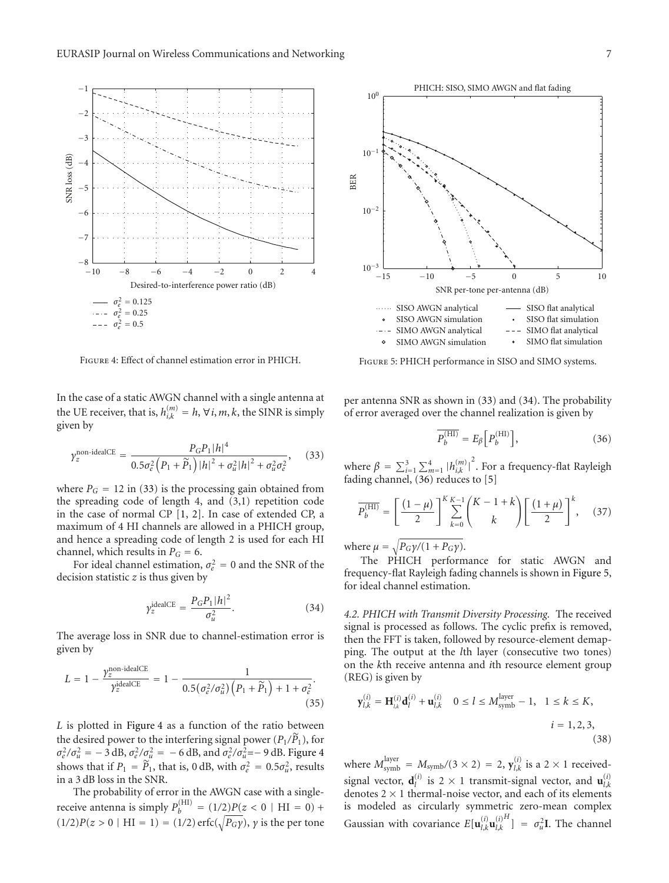

Figure 4: Effect of channel estimation error in PHICH.

In the case of a static AWGN channel with a single antenna at the UE receiver, that is,  $h_{i,k}^{(m)} = h$ ,  $\forall i, m, k$ , the SINR is simply given by

$$
\gamma_z^{\text{non-idealCE}} = \frac{P_G P_1 |h|^4}{0.5 \sigma_e^2 \left( P_1 + \widetilde{P}_1 \right) |h|^2 + \sigma_u^2 |h|^2 + \sigma_u^2 \sigma_e^2},\tag{33}
$$

where  $P_G = 12$  in (33) is the processing gain obtained from the spreading code of length 4, and (3,1) repetition code in the case of normal CP [1, 2]. In case of extended CP, a maximum of 4 HI channels are allowed in a PHICH group, and hence a spreading code of length 2 is used for each HI channel, which results in  $P_G = 6$ .

For ideal channel estimation,  $\sigma_e^2 = 0$  and the SNR of the decision statistic *z* is thus given by

$$
\gamma_z^{\text{idealCE}} = \frac{P_G P_1 |h|^2}{\sigma_u^2}.
$$
\n(34)

The average loss in SNR due to channel-estimation error is given by

$$
L = 1 - \frac{\gamma_z^{\text{non-idealCE}}}{\gamma_z^{\text{idealCE}}} = 1 - \frac{1}{0.5(\sigma_e^2/\sigma_u^2) \left( P_1 + \widetilde{P}_1 \right) + 1 + \sigma_e^2}.
$$
\n(35)

*L* is plotted in Figure 4 as a function of the ratio between the desired power to the interfering signal power  $(P_1/\tilde{P}_1)$ , for  $\sigma_e^2/\sigma_u^2 = -3$  dB,  $\sigma_e^2/\sigma_u^2 = -6$  dB, and  $\sigma_e^2/\sigma_u^2 = -9$  dB. Figure 4 shows that if  $P_1 = \widetilde{P}_1$ , that is, 0 dB, with  $\sigma_e^2 = 0.5\sigma_u^2$ , results in a 3 dB loss in the SNR.

The probability of error in the AWGN case with a singlereceive antenna is simply  $P_b^{\text{(HI)}} = (1/2)P(z < 0 \mid \text{HI} = 0) +$  $(1/2)P(z > 0 | HI = 1) = (1/2) \operatorname{erfc}(\sqrt{P_G \gamma}), \gamma$  is the per tone



Figure 5: PHICH performance in SISO and SIMO systems.

per antenna SNR as shown in (33) and (34). The probability of error averaged over the channel realization is given by

$$
\overline{P_b^{\text{(HI)}}} = E_\beta \left[ P_b^{\text{(HI)}} \right],\tag{36}
$$

where  $\beta = \sum_{i=1}^{3} \sum_{m=1}^{4} |h_{i,k}^{(m)}|$ 2 . For a frequency-flat Rayleigh fading channel, (36) reduces to [5]

$$
\overline{P_b^{\text{(HI)}}} = \left[\frac{(1-\mu)}{2}\right]^K \sum_{k=0}^{K-1} {K-1+k \choose k} \left[\frac{(1+\mu)}{2}\right]^k, \quad (37)
$$

where  $\mu = \sqrt{P_G \gamma / (1 + P_G \gamma)}$ .

The PHICH performance for static AWGN and frequency-flat Rayleigh fading channels is shown in Figure 5, for ideal channel estimation.

*4.2. PHICH with Transmit Diversity Processing.* The received signal is processed as follows. The cyclic prefix is removed, then the FFT is taken, followed by resource-element demapping. The output at the *l*th layer (consecutive two tones) on the *k*th receive antenna and *i*th resource element group (REG) is given by

$$
\mathbf{y}_{l,k}^{(i)} = \mathbf{H}_{l,k}^{(i)} \mathbf{d}_l^{(i)} + \mathbf{u}_{l,k}^{(i)} \quad 0 \le l \le M_{\text{symb}}^{\text{layer}} - 1, \quad 1 \le k \le K,
$$
\n
$$
i = 1, 2, 3,
$$
\n(38)

where  $M_{\text{symb}}^{\text{layer}} = M_{\text{symb}}/(3 \times 2) = 2$ ,  $\mathbf{y}_{l,k}^{(i)}$  is a 2 × 1 receivedsignal vector,  $\mathbf{d}_l^{(i)}$  is 2 × 1 transmit-signal vector, and  $\mathbf{u}_{l,k}^{(i)}$ denotes  $2 \times 1$  thermal-noise vector, and each of its elements is modeled as circularly symmetric zero-mean complex Gaussian with covariance  $E[\mathbf{u}_{l,k}^{(i)}\mathbf{u}_{l,k}^{(i)}]$  $\int_{0}^{H}$ ] =  $\sigma_u^2$ **I**. The channel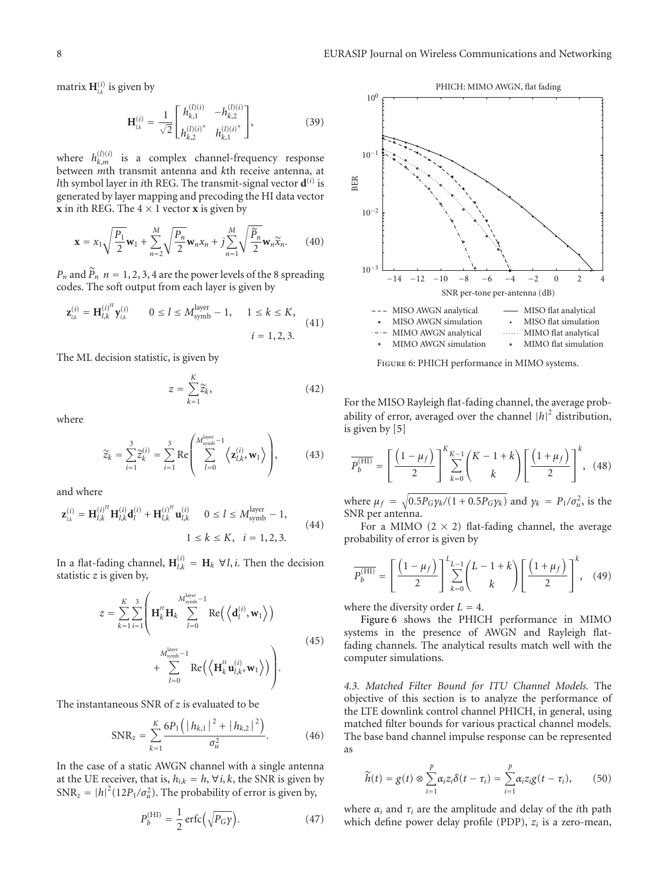matrix  $\mathbf{H}_{l,k}^{(i)}$  is given by

$$
\mathbf{H}_{l,k}^{(i)} = \frac{1}{\sqrt{2}} \begin{bmatrix} h_{k,1}^{(l)(i)} & -h_{k,2}^{(l)(i)} \\ h_{k,2}^{(l)(i)^*} & h_{k,1}^{(l)(i)^*} \end{bmatrix},
$$
(39)

where  $h_{k,m}^{(l)(i)}$  is a complex channel-frequency response between *m*th transmit antenna and *k*th receive antenna, at *l*th symbol layer in *i*th REG. The transmit-signal vector  $\mathbf{d}^{(i)}$  is generated by layer mapping and precoding the HI data vector **x** in *i*th REG. The  $4 \times 1$  vector **x** is given by

$$
\mathbf{x} = x_1 \sqrt{\frac{P_1}{2}} \mathbf{w}_1 + \sum_{n=2}^M \sqrt{\frac{P_n}{2}} \mathbf{w}_n x_n + j \sum_{n=1}^M \sqrt{\frac{\widetilde{P}_n}{2}} \mathbf{w}_n \widetilde{x}_n.
$$
 (40)

 $P_n$  and  $\widetilde{P}_n$   $n = 1, 2, 3, 4$  are the power levels of the 8 spreading codes. The soft output from each layer is given by

$$
\mathbf{z}_{l,k}^{(i)} = \mathbf{H}_{l,k}^{(i)^{H}} \mathbf{y}_{l,k}^{(i)} \qquad 0 \le l \le M_{\text{symb}}^{\text{layer}} - 1, \qquad 1 \le k \le K,
$$
  
 $i = 1, 2, 3.$  (41)

The ML decision statistic, is given by

$$
z = \sum_{k=1}^{K} \widetilde{z}_k, \tag{42}
$$

where

$$
\widetilde{z}_k = \sum_{i=1}^3 \widetilde{z}_k^{(i)} = \sum_{i=1}^3 \mathrm{Re} \left( \sum_{l=0}^{M_{\mathrm{symb}}^{l \mathrm{avg}} - 1} \left\langle \mathbf{z}_{l,k}^{(i)}, \mathbf{w}_1 \right\rangle \right), \tag{43}
$$

and where

$$
\mathbf{z}_{l,k}^{(i)} = \mathbf{H}_{l,k}^{(i)^H} \mathbf{H}_{l,k}^{(i)} \mathbf{d}_l^{(i)} + \mathbf{H}_{l,k}^{(i)^H} \mathbf{u}_{l,k}^{(i)} \qquad 0 \le l \le M_{\text{symb}}^{\text{layer}} - 1,
$$
  

$$
1 \le k \le K, \quad i = 1, 2, 3.
$$
 (44)

In a flat-fading channel,  $\mathbf{H}_{l,k}^{(i)} = \mathbf{H}_k \ \forall l,i$ . Then the decision statistic *z* is given by,

$$
z = \sum_{k=1}^{K} \sum_{i=1}^{3} \left( \mathbf{H}_{k}^{H} \mathbf{H}_{k} \sum_{l=0}^{M_{\text{symbol}}^{\text{layer}}} \text{Re}\left(\left\langle \mathbf{d}_{l}^{(i)}, \mathbf{w}_{1} \right\rangle\right) \right. \\ \left. + \sum_{l=0}^{M_{\text{symbol}}^{\text{layer}}} \text{Re}\left(\left\langle \mathbf{H}_{k}^{H} \mathbf{u}_{l,k}^{(i)}, \mathbf{w}_{1} \right\rangle\right) \right). \tag{45}
$$

The instantaneous SNR of *z* is evaluated to be

$$
SNR_z = \sum_{k=1}^{K} \frac{6P_1 (|h_{k,1}|^2 + |h_{k,2}|^2)}{\sigma_u^2}.
$$
 (46)

In the case of a static AWGN channel with a single antenna at the UE receiver, that is,  $h_{i,k} = h, \forall i, k$ , the SNR is given by  $SNR_z = |h|^2 (12P_1/\sigma_u^2)$ . The probability of error is given by,

$$
P_b^{\text{(HI)}} = \frac{1}{2} \operatorname{erfc}\left(\sqrt{P_G \gamma}\right). \tag{47}
$$



Figure 6: PHICH performance in MIMO systems.

For the MISO Rayleigh flat-fading channel, the average probability of error, averaged over the channel  $|h|^2$  distribution, is given by [5]

$$
\overline{P_b^{\text{(HI)}}} = \left[ \frac{\left(1 - \mu_f\right)}{2} \right]_{k=0}^{K_{K-1}} \left( \frac{K - 1 + k}{k} \right) \left[ \frac{\left(1 + \mu_f\right)}{2} \right]^k, \tag{48}
$$

where  $\mu_f = \sqrt{0.5P_G\gamma_k/(1+0.5P_G\gamma_k)}$  and  $\gamma_k = P_1/\sigma_u^2$ , is the SNR per antenna.

For a MIMO  $(2 \times 2)$  flat-fading channel, the average probability of error is given by

$$
\overline{P_b^{(\text{HI})}} = \left[ \frac{\left(1 - \mu_f\right)}{2} \right]_{k=0}^{L_{L-1}} \left( \frac{L - 1 + k}{k} \right) \left[ \frac{\left(1 + \mu_f\right)}{2} \right]^k, \quad (49)
$$

where the diversity order  $L = 4$ .

Figure 6 shows the PHICH performance in MIMO systems in the presence of AWGN and Rayleigh flatfading channels. The analytical results match well with the computer simulations.

*4.3. Matched Filter Bound for ITU Channel Models.* The objective of this section is to analyze the performance of the LTE downlink control channel PHICH, in general, using matched filter bounds for various practical channel models. The base band channel impulse response can be represented as

$$
\widetilde{h}(t) = g(t) \otimes \sum_{i=1}^{p} \alpha_i z_i \delta(t - \tau_i) = \sum_{i=1}^{p} \alpha_i z_i g(t - \tau_i), \qquad (50)
$$

where  $\alpha_i$  and  $\tau_i$  are the amplitude and delay of the *i*th path which define power delay profile (PDP), *zi* is a zero-mean,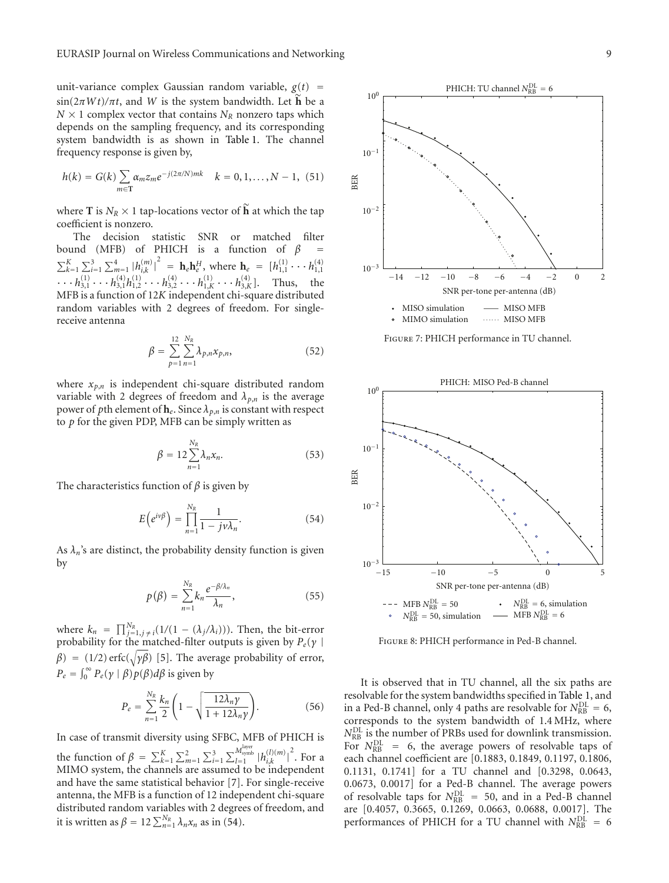unit-variance complex Gaussian random variable,  $g(t)$  =  $\sin(2\pi Wt)/\pi t$ , and *W* is the system bandwidth. Let **h** be a  $N \times 1$  complex vector that contains  $N_R$  nonzero taps which depends on the sampling frequency, and its corresponding system bandwidth is as shown in Table 1. The channel frequency response is given by,

$$
h(k) = G(k) \sum_{m \in \mathbf{T}} \alpha_m z_m e^{-j(2\pi/N)mk} \quad k = 0, 1, ..., N - 1, (51)
$$

where **T** is  $N_R \times 1$  tap-locations vector of  $\widetilde{\mathbf{h}}$  at which the tap coefficient is nonzero.

The decision statistic SNR or matched filter bound (MFB) of PHICH is a function of  $β$  $\sum_{k=1}^{K} \sum_{i=1}^{3} \sum_{m=1}^{4} |h_{i,k}^{(m)}|$  $\sum_{k=1}^{K} \sum_{i=1}^{3} \sum_{m=1}^{4} |h_{i,k}^{(m)}|^2 = \mathbf{h}_e \mathbf{h}_e^H$ , where  $\mathbf{h}_e = [h_{1,1}^{(1)} \cdots h_{1,1}^{(4)} \cdots h_{3,1}^{(4)} \cdots h_{3,1}^{(4)} \cdots h_{3,2}^{(4)} \cdots h_{1,K}^{(1)} \cdots h_{3,K}^{(4)}]$ . Thus, the MFB is a function of 12*K* independent chi-square distributed random variables with 2 degrees of freedom. For singlereceive antenna

$$
\beta = \sum_{p=1}^{12} \sum_{n=1}^{N_R} \lambda_{p,n} x_{p,n},
$$
\n(52)

where  $x_{p,n}$  is independent chi-square distributed random variable with 2 degrees of freedom and  $\lambda_{p,n}$  is the average power of *p*th element of  $h_e$ . Since  $\lambda_{p,n}$  is constant with respect to *p* for the given PDP, MFB can be simply written as

$$
\beta = 12 \sum_{n=1}^{N_R} \lambda_n x_n. \tag{53}
$$

The characteristics function of *β* is given by

$$
E\left(e^{i\nu\beta}\right) = \prod_{n=1}^{N_R} \frac{1}{1 - j\nu\lambda_n}.\tag{54}
$$

As  $\lambda_n$ 's are distinct, the probability density function is given by

$$
p(\beta) = \sum_{n=1}^{N_R} k_n \frac{e^{-\beta/\lambda_n}}{\lambda_n},
$$
\n(55)

where  $k_n = \prod_{j=1, j \neq i}^{N_R} (1/(1 - (\lambda_j/\lambda_i)))$ . Then, the bit-error probability for the matched-filter outputs is given by *Pe*(*γ* |  $\beta$ ) = (1/2) erfc( $\sqrt{\gamma\beta}$ ) [5]. The average probability of error,  $P_e = \int_0^\infty P_e(\gamma \mid \beta) p(\beta) d\beta$  is given by

$$
P_e = \sum_{n=1}^{N_R} \frac{k_n}{2} \left( 1 - \sqrt{\frac{12\lambda_n \gamma}{1 + 12\lambda_n \gamma}} \right).
$$
 (56)

In case of transmit diversity using SFBC, MFB of PHICH is the function of  $\beta = \sum_{k=1}^{K} \sum_{m=1}^{2} \sum_{i=1}^{3} \sum_{l=1}^{M_{\text{synbs}}^{l\ttext{layer}}} |h_{i,k}^{(l)(m)}|$  $2$ . For a MIMO system, the channels are assumed to be independent and have the same statistical behavior [7]. For single-receive antenna, the MFB is a function of 12 independent chi-square distributed random variables with 2 degrees of freedom, and it is written as  $\beta = 12 \sum_{n=1}^{N_R} \lambda_n x_n$  as in (54).



Figure 7: PHICH performance in TU channel.



Figure 8: PHICH performance in Ped-B channel.

It is observed that in TU channel, all the six paths are resolvable for the system bandwidths specified in Table 1, and in a Ped-B channel, only 4 paths are resolvable for  $N_{\text{RB}}^{\text{DL}} = 6$ , corresponds to the system bandwidth of 1.4 MHz, where  $N_{\text{RB}}^{\text{DL}}$  is the number of PRBs used for downlink transmission. For  $N_{RB}^{DL}$  = 6, the average powers of resolvable taps of each channel coefficient are [0.1883, 0.1849, 0.1197, 0.1806, 0.1131, 0.1741] for a TU channel and [0.3298, 0.0643, 0.0673, 0.0017] for a Ped-B channel. The average powers of resolvable taps for  $N_{\text{RB}}^{\text{DL}} = 50$ , and in a Ped-B channel are [0.4057, 0.3665, 0.1269, 0.0663, 0.0688, 0.0017]. The performances of PHICH for a TU channel with  $N_{RB}^{DL} = 6$